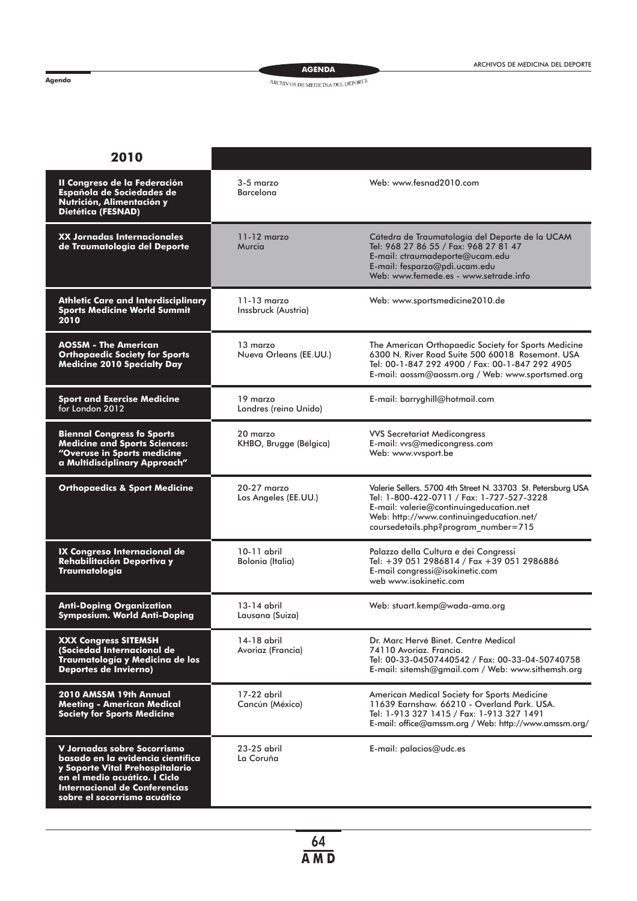**Agenda**

**AGENDA**

## $\mathcal{A}\mathcal{R}\mathcal{C}\mathcal{H}\mathcal{V}\mathcal{O}\mathcal{S}$ DE MEDICINA DEL DEPORTE

| 2010                                                                                                                                                                                                  |                                        |                                                                                                                                                                                                                                          |
|-------------------------------------------------------------------------------------------------------------------------------------------------------------------------------------------------------|----------------------------------------|------------------------------------------------------------------------------------------------------------------------------------------------------------------------------------------------------------------------------------------|
| II Congreso de la Federación<br>Española de Sociedades de<br>Nutrición, Alimentación y<br>Dietética (FESNAD)                                                                                          | $3-5$ marzo<br><b>Barcelona</b>        | Web: www.fesnad2010.com                                                                                                                                                                                                                  |
| XX Jornadas Internacionales<br>de Traumatología del Deporte                                                                                                                                           | $11 - 12$ marzo<br>Murcia              | Cátedra de Traumatología del Deporte de la UCAM<br>Tel: 968 27 86 55 / Fax: 968 27 81 47<br>E-mail: ctraumadeporte@ucam.edu<br>E-mail: fesparza@pdi.ucam.edu<br>Web: www.femede.es - www.setrade.info                                    |
| <b>Athletic Care and Interdisciplinary</b><br><b>Sports Medicine World Summit</b><br>2010                                                                                                             | $11 - 13$ marzo<br>Inssbruck (Austria) | Web: www.sportsmedicine2010.de                                                                                                                                                                                                           |
| AOSSM - The American<br><b>Orthopaedic Society for Sports</b><br><b>Medicine 2010 Specialty Day</b>                                                                                                   | 13 marzo<br>Nueva Orleans (EE.UU.)     | The American Orthopaedic Society for Sports Medicine<br>6300 N. River Road Suite 500 60018 Rosemont. USA<br>Tel: 00-1-847 292 4900 / Fax: 00-1-847 292 4905<br>E-mail: aossm@aossm.org / Web: www.sportsmed.org                          |
| <b>Sport and Exercise Medicine</b><br>for London 2012                                                                                                                                                 | 19 marzo<br>Londres (reino Unido)      | E-mail: barryghill@hotmail.com                                                                                                                                                                                                           |
| <b>Biennal Congress fo Sports</b><br><b>Medicine and Sports Sciences:</b><br>"Overuse in Sports medicine<br>a Multidisciplinary Approach"                                                             | 20 marzo<br>KHBO, Brugge (Bélgica)     | <b>VVS Secretariat Medicongress</b><br>E-mail: vvs@medicongress.com<br>Web: www.vvsport.be                                                                                                                                               |
| <b>Orthopaedics &amp; Sport Medicine</b>                                                                                                                                                              | 20-27 marzo<br>Los Angeles (EE.UU.)    | Valerie Sellers. 5700 4th Street N. 33703 St. Petersburg USA<br>Tel: 1-800-422-0711 / Fax: 1-727-527-3228<br>E-mail: valerie@continuingeducation.net<br>Web: http://www.continuingeducation.net/<br>coursedetails.php?program_number=715 |
| IX Congreso Internacional de<br>Rehabilitación Deportiva y<br>Traumatología                                                                                                                           | 10-11 abril<br>Bolonia (Italia)        | Palazzo della Cultura e dei Congressi<br>Tel: +39 051 2986814 / Fax +39 051 2986886<br>E-mail congressi@isokinetic.com<br>web www.isokinetic.com                                                                                         |
| <b>Anti-Doping Organization</b><br>Symposium. World Anti-Doping                                                                                                                                       | 13-14 abril<br>Lausana (Suiza)         | Web: stuart.kemp@wada-ama.org                                                                                                                                                                                                            |
| <b>XXX Congress SITEMSH</b><br>(Sociedad Internacional de<br>Traumatología y Medicina de los<br>Deportes de Invierno)                                                                                 | 14-18 abril<br>Avoriaz (Francia)       | Dr. Marc Hervé Binet. Centre Medical<br>74110 Avoriaz. Francia.<br>Tel: 00-33-04507440542 / Fax: 00-33-04-50740758<br>E-mail: sitemsh@gmail.com / Web: www.sithemsh.org                                                                  |
| 2010 AMSSM 19th Annual<br><b>Meeting - American Medical</b><br><b>Society for Sports Medicine</b>                                                                                                     | 17-22 abril<br>Cancún (México)         | American Medical Society for Sports Medicine<br>11639 Earnshaw. 66210 - Overland Park. USA.<br>Tel: 1-913 327 1415 / Fax: 1-913 327 1491<br>E-mail: office@amssm.org / Web: http://www.amssm.org/                                        |
| V Jornadas sobre Socorrismo<br>basado en la evidencia científica<br>y Soporte Vital Prehospitalario<br>en el medio acuático. I Ciclo<br>Internacional de Conferencias<br>sobre el socorrismo acuático | 23-25 abril<br>La Coruña               | E-mail: palacios@udc.es                                                                                                                                                                                                                  |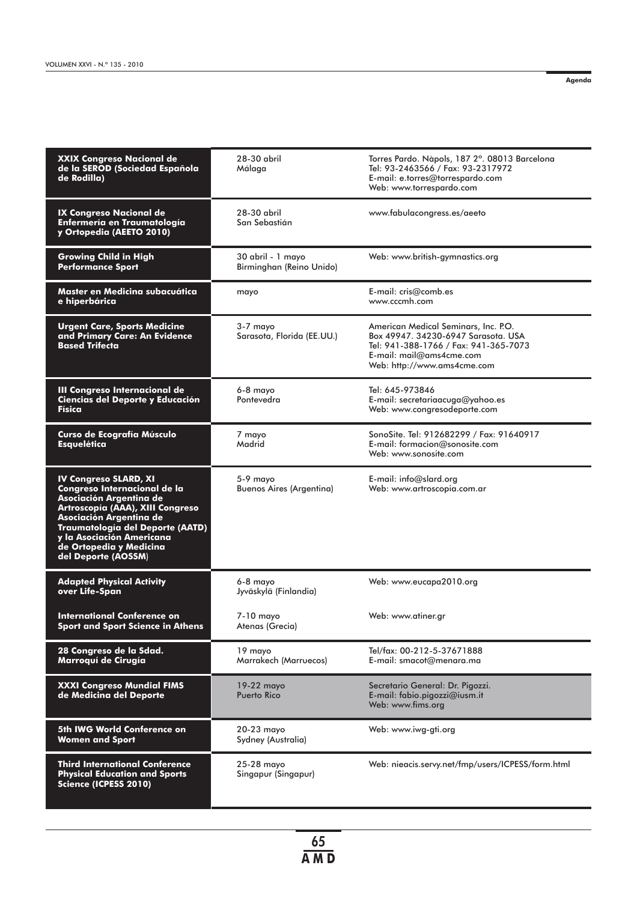**Agenda**

| <b>XXIX Congreso Nacional de</b><br>de la SEROD (Sociedad Española<br>de Rodilla)                                                                                                                                                                                         | 28-30 abril<br>Málaga                         | Torres Pardo. Nàpols, 187 2°. 08013 Barcelona<br>Tel: 93-2463566 / Fax: 93-2317972<br>E-mail: e.torres@torrespardo.com<br>Web: www.torrespardo.com                              |
|---------------------------------------------------------------------------------------------------------------------------------------------------------------------------------------------------------------------------------------------------------------------------|-----------------------------------------------|---------------------------------------------------------------------------------------------------------------------------------------------------------------------------------|
| IX Congreso Nacional de<br>Enfermería en Traumatología<br>y Ortopedia (AEETO 2010)                                                                                                                                                                                        | 28-30 abril<br>San Sebastián                  | www.fabulacongress.es/aeeto                                                                                                                                                     |
| <b>Growing Child in High</b><br><b>Performance Sport</b>                                                                                                                                                                                                                  | 30 abril - 1 mayo<br>Birminghan (Reino Unido) | Web: www.british-gymnastics.org                                                                                                                                                 |
| Master en Medicina subacuática<br>e hiperbárica                                                                                                                                                                                                                           | mayo                                          | $E$ -mail: cris@comb.es<br>www.cccmh.com                                                                                                                                        |
| <b>Urgent Care, Sports Medicine</b><br>and Primary Care: An Evidence<br><b>Based Trifecta</b>                                                                                                                                                                             | 3-7 mayo<br>Sarasota, Florida (EE.UU.)        | American Medical Seminars, Inc. P.O.<br>Box 49947, 34230-6947 Sarasota, USA<br>Tel: 941-388-1766 / Fax: 941-365-7073<br>E-mail: mail@ams4cme.com<br>Web: http://www.ams4cme.com |
| III Congreso Internacional de<br>Ciencias del Deporte y Educación<br>Física                                                                                                                                                                                               | 6-8 mayo<br>Pontevedra                        | Tel: 645-973846<br>E-mail: secretariaacuga@yahoo.es<br>Web: www.congresodeporte.com                                                                                             |
| Curso de Ecografía Músculo<br><b>Esquelética</b>                                                                                                                                                                                                                          | 7 mayo<br>Madrid                              | SonoSite. Tel: 912682299 / Fax: 91640917<br>E-mail: formacion@sonosite.com<br>Web: www.sonosite.com                                                                             |
| <b>IV Congreso SLARD, XI</b><br>Congreso Internacional de la<br>Asociación Argentina de<br>Artroscopía (AAA), XIII Congreso<br>Asociación Argentina de<br>Traumatología del Deporte (AATD)<br>y la Asociación Americana<br>de Ortopedia y Medicina<br>del Deporte (AOSSM) | 5-9 mayo<br><b>Buenos Aires (Argentina)</b>   | E-mail: info@slard.org<br>Web: www.artroscopia.com.ar                                                                                                                           |
| <b>Adapted Physical Activity</b><br>over Life-Span                                                                                                                                                                                                                        | 6-8 mayo<br>Jyväskylä (Finlandia)             | Web: www.eucapa2010.org                                                                                                                                                         |
| International Conference on<br>Sport and Sport Science in Athens                                                                                                                                                                                                          | 7-10 mayo<br>Atenas (Grecia)                  | Web: www.atiner.gr                                                                                                                                                              |
| 28 Congreso de la Sdad.<br>Marroquí de Cirugía                                                                                                                                                                                                                            | 19 mayo<br>Marrakech (Marruecos)              | Tel/fax: 00-212-5-37671888<br>E-mail: smacot@menara.ma                                                                                                                          |
| <b>XXXI Congreso Mundial FIMS</b><br>de Medicina del Deporte                                                                                                                                                                                                              | 19-22 mayo<br>Puerto Rico                     | Secretario General: Dr. Pigozzi.<br>$E$ -mail: fabio.pigozzi@iusm.it<br>Web: www.fims.org                                                                                       |
| 5th IWG World Conference on<br><b>Women and Sport</b>                                                                                                                                                                                                                     | 20-23 mayo<br>Sydney (Australia)              | Web: www.iwg-gti.org                                                                                                                                                            |
| <b>Third International Conference</b><br><b>Physical Education and Sports</b><br>Science (ICPESS 2010)                                                                                                                                                                    | 25-28 mayo<br>Singapur (Singapur)             | Web: nieacis.servy.net/fmp/users/ICPESS/form.html                                                                                                                               |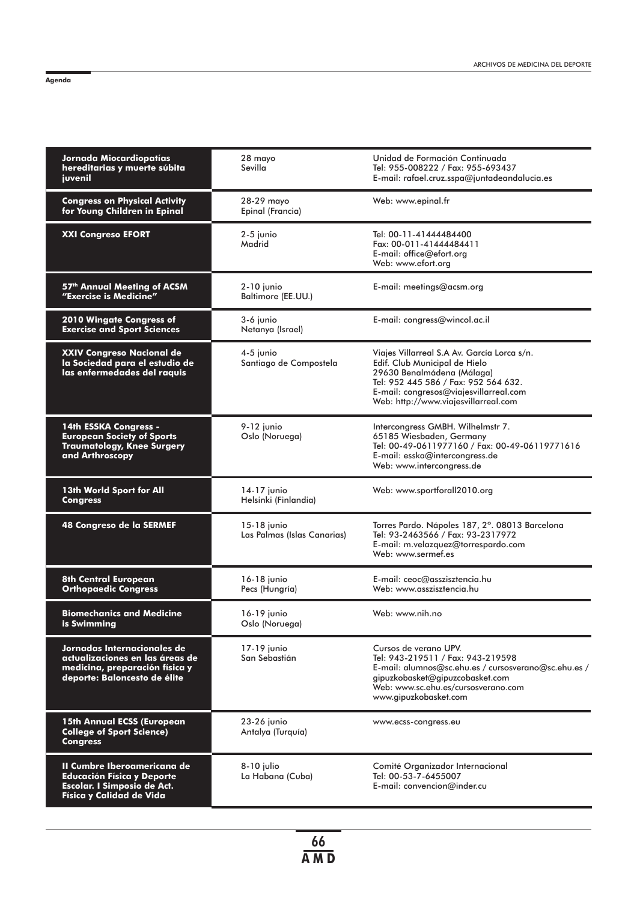|--|

| Jornada Miocardiopatías<br>hereditarias y muerte súbita<br>juvenil                                                               | 28 mayo<br>Sevilla                         | Unidad de Formación Continuada<br>Tel: 955-008222 / Fax: 955-693437<br>E-mail: rafael.cruz.sspa@juntadeandalucia.es                                                                                                                  |
|----------------------------------------------------------------------------------------------------------------------------------|--------------------------------------------|--------------------------------------------------------------------------------------------------------------------------------------------------------------------------------------------------------------------------------------|
| <b>Congress on Physical Activity</b><br>for Young Children in Epinal                                                             | 28-29 mayo<br>Epinal (Francia)             | Web: www.epinal.fr                                                                                                                                                                                                                   |
| <b>XXI Congreso EFORT</b>                                                                                                        | 2-5 junio<br>Madrid                        | Tel: 00-11-41444484400<br>Fax: 00-011-41444484411<br>E-mail: office@efort.org<br>Web: www.efort.org                                                                                                                                  |
| 57th Annual Meeting of ACSM<br>"Exercise is Medicine"                                                                            | $2-10$ junio<br>Baltimore (EE.UU.)         | E-mail: meetings@acsm.org                                                                                                                                                                                                            |
| 2010 Wingate Congress of<br><b>Exercise and Sport Sciences</b>                                                                   | 3-6 junio<br>Netanya (Israel)              | E-mail: congress@wincol.ac.il                                                                                                                                                                                                        |
| XXIV Congreso Nacional de<br>la Sociedad para el estudio de<br>las enfermedades del raquis                                       | 4-5 junio<br>Santiago de Compostela        | Viajes Villarreal S.A Av. García Lorca s/n.<br>Edif. Club Municipal de Hielo<br>29630 Benalmádena (Málaga)<br>Tel: 952 445 586 / Fax: 952 564 632.<br>E-mail: congresos@viajesvillarreal.com<br>Web: http://www.viajesvillarreal.com |
| 14th ESSKA Congress -<br><b>European Society of Sports</b><br><b>Traumatology, Knee Surgery</b><br>and Arthroscopy               | 9-12 junio<br>Oslo (Noruega)               | Intercongress GMBH. Wilhelmstr 7.<br>65185 Wiesbaden, Germany<br>Tel: 00-49-0611977160 / Fax: 00-49-06119771616<br>E-mail: esska@intercongress.de<br>Web: www.intercongress.de                                                       |
| 13th World Sport for All<br><b>Congress</b>                                                                                      | 14-17 junio<br>Helsinki (Finlandia)        | Web: www.sportforall2010.org                                                                                                                                                                                                         |
| 48 Congreso de la SERMEF                                                                                                         | 15-18 junio<br>Las Palmas (Islas Canarias) | Torres Pardo. Nápoles 187, 2°. 08013 Barcelona<br>Tel: 93-2463566 / Fax: 93-2317972<br>E-mail: m.velazquez@torrespardo.com<br>Web: www.sermef.es                                                                                     |
| <b>8th Central European</b><br><b>Orthopaedic Congress</b>                                                                       | 16-18 junio<br>Pecs (Hungría)              | $E$ -mail: ceoc@asszisztencia.hu<br>Web: www.asszisztencia.hu                                                                                                                                                                        |
| <b>Biomechanics and Medicine</b><br>is Swimmina                                                                                  | 16-19 junio<br>Oslo (Noruega)              | Web: www.nih.no                                                                                                                                                                                                                      |
| Jornadas Internacionales de<br>actualizaciones en las áreas de<br>medicina, preparación física y<br>deporte: Baloncesto de élite | 17-19 junio<br>San Sebastián               | Cursos de verano UPV.<br>Tel: 943-219511 / Fax: 943-219598<br>E-mail: alumnos@sc.ehu.es / cursosverano@sc.ehu.es /<br>gipuzkobasket@gipuzcobasket.com<br>Web: www.sc.ehu.es/cursosverano.com<br>www.gipuzkobasket.com                |
| <b>15th Annual ECSS (European</b><br><b>College of Sport Science)</b><br><b>Congress</b>                                         | 23-26 junio<br>Antalya (Turquía)           | www.ecss-congress.eu                                                                                                                                                                                                                 |
| II Cumbre Iberoamericana de<br><b>Educación Física y Deporte</b><br>Escolar. I Simposio de Act.<br>Física y Calidad de Vida      | 8-10 julio<br>La Habana (Cuba)             | Comité Organizador Internacional<br>Tel: 00-53-7-6455007<br>E-mail: convencion@inder.cu                                                                                                                                              |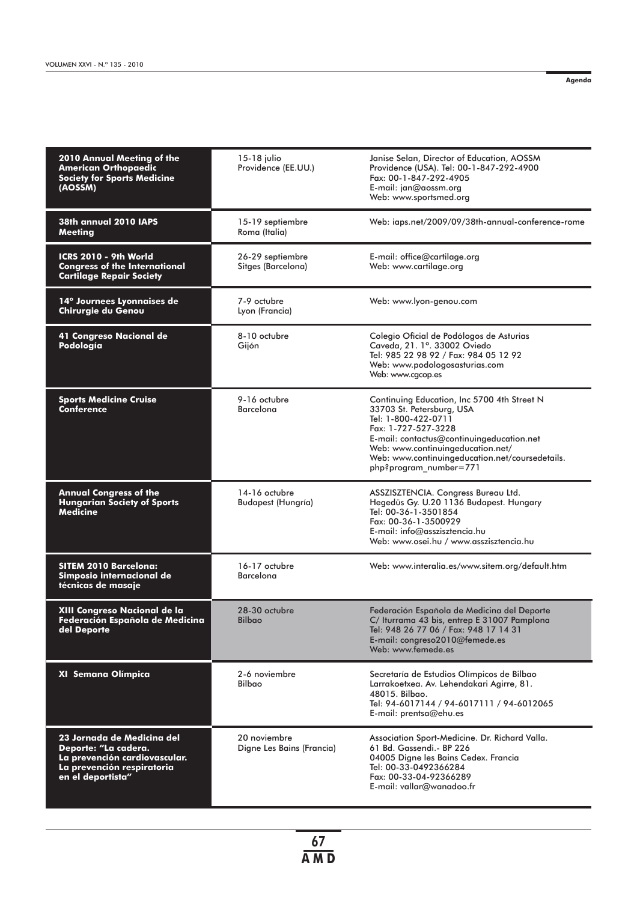**Agenda**

| 2010 Annual Meeting of the<br><b>American Orthopaedic</b><br><b>Society for Sports Medicine</b><br>(AOSSM)                             | 15-18 julio<br>Providence (EE.UU.)         | Janise Selan, Director of Education, AOSSM<br>Providence (USA). Tel: 00-1-847-292-4900<br>Fax: 00-1-847-292-4905<br>E-mail: jan@aossm.org<br>Web: www.sportsmed.org                                                                                                                   |
|----------------------------------------------------------------------------------------------------------------------------------------|--------------------------------------------|---------------------------------------------------------------------------------------------------------------------------------------------------------------------------------------------------------------------------------------------------------------------------------------|
| 38th annual 2010 IAPS<br><b>Meeting</b>                                                                                                | 15-19 septiembre<br>Roma (Italia)          | Web: iaps.net/2009/09/38th-annual-conference-rome                                                                                                                                                                                                                                     |
| ICRS 2010 - 9th World<br><b>Congress of the International</b><br><b>Cartilage Repair Society</b>                                       | 26-29 septiembre<br>Sitges (Barcelona)     | E-mail: office@cartilage.org<br>Web: www.cartilage.org                                                                                                                                                                                                                                |
| 14° Journees Lyonnaises de<br>Chirurgie du Genou                                                                                       | 7-9 octubre<br>Lyon (Francia)              | Web: www.lyon-genou.com                                                                                                                                                                                                                                                               |
| 41 Congreso Nacional de<br>Podología                                                                                                   | 8-10 octubre<br>Gijón                      | Colegio Oficial de Podólogos de Asturias<br>Caveda, 21. 1°. 33002 Oviedo<br>Tel: 985 22 98 92 / Fax: 984 05 12 92<br>Web: www.podologosasturias.com<br>Web: www.cgcop.es                                                                                                              |
| <b>Sports Medicine Cruise</b><br>Conference                                                                                            | 9-16 octubre<br><b>Barcelona</b>           | Continuing Education, Inc 5700 4th Street N<br>33703 St. Petersburg, USA<br>Tel: 1-800-422-0711<br>Fax: 1-727-527-3228<br>E-mail: contactus@continuingeducation.net<br>Web: www.continuingeducation.net/<br>Web: www.continuingeducation.net/coursedetails.<br>php?program_number=771 |
| <b>Annual Congress of the</b><br><b>Hungarian Society of Sports</b><br>Medicine                                                        | 14-16 octubre<br><b>Budapest (Hungría)</b> | ASSZISZTENCIA. Congress Bureau Ltd.<br>Hegedüs Gy. U.20 1136 Budapest. Hungary<br>Tel: 00-36-1-3501854<br>Fax: 00-36-1-3500929<br>E-mail: info@asszisztencia.hu<br>Web: www.osei.hu / www.asszisztencia.hu                                                                            |
| <b>SITEM 2010 Barcelona:</b><br>Simposio internacional de<br>técnicas de masaje                                                        | 16-17 octubre<br><b>Barcelona</b>          | Web: www.interalia.es/www.sitem.org/default.htm                                                                                                                                                                                                                                       |
| XIII Congreso Nacional de la<br>Federación Española de Medicina<br>del Deporte                                                         | 28-30 octubre<br><b>Bilbao</b>             | Federación Española de Medicina del Deporte<br>C/ Iturrama 43 bis, entrep E 31007 Pamplona<br>Tel: 948 26 77 06 / Fax: 948 17 14 31<br>E-mail: congreso2010@femede.es<br>Web: www.femede.es                                                                                           |
| XI Semana Olímpica                                                                                                                     | 2-6 noviembre<br><b>Bilbao</b>             | Secretaría de Estudios Olímpicos de Bilbao<br>Larrakoetxea. Av. Lehendakari Agirre, 81.<br>48015. Bilbao.<br>Tel: 94-6017144 / 94-6017111 / 94-6012065<br>E-mail: prentsa@ehu.es                                                                                                      |
| 23 Jornada de Medicina del<br>Deporte: "La cadera.<br>La prevención cardiovascular.<br>La prevención respiratoria<br>en el deportista" | 20 noviembre<br>Digne Les Bains (Francia)  | Association Sport-Medicine. Dr. Richard Valla.<br>61 Bd. Gassendi.- BP 226<br>04005 Digne les Bains Cedex. Francia<br>Tel: 00-33-0492366284<br>Fax: 00-33-04-92366289<br>E-mail: vallar@wanadoo.fr                                                                                    |